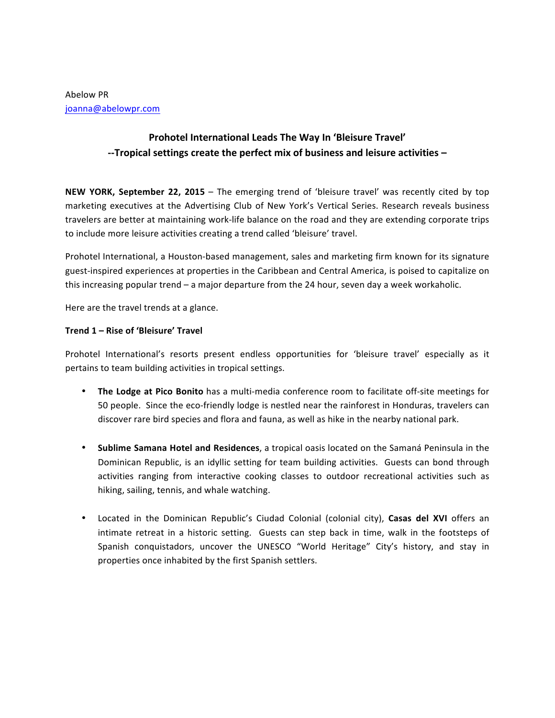# **Prohotel International Leads The Way In 'Bleisure Travel'** --Tropical settings create the perfect mix of business and leisure activities –

**NEW YORK, September 22, 2015** – The emerging trend of 'bleisure travel' was recently cited by top marketing executives at the Advertising Club of New York's Vertical Series. Research reveals business travelers are better at maintaining work-life balance on the road and they are extending corporate trips to include more leisure activities creating a trend called 'bleisure' travel.

Prohotel International, a Houston-based management, sales and marketing firm known for its signature guest-inspired experiences at properties in the Caribbean and Central America, is poised to capitalize on this increasing popular trend – a major departure from the 24 hour, seven day a week workaholic.

Here are the travel trends at a glance.

## **Trend 1 – Rise of 'Bleisure' Travel**

Prohotel International's resorts present endless opportunities for 'bleisure travel' especially as it pertains to team building activities in tropical settings.

- The Lodge at Pico Bonito has a multi-media conference room to facilitate off-site meetings for 50 people. Since the eco-friendly lodge is nestled near the rainforest in Honduras, travelers can discover rare bird species and flora and fauna, as well as hike in the nearby national park.
- Sublime Samana Hotel and Residences, a tropical oasis located on the Samaná Peninsula in the Dominican Republic, is an idyllic setting for team building activities. Guests can bond through activities ranging from interactive cooking classes to outdoor recreational activities such as hiking, sailing, tennis, and whale watching.
- Located in the Dominican Republic's Ciudad Colonial (colonial city), Casas del XVI offers an intimate retreat in a historic setting. Guests can step back in time, walk in the footsteps of Spanish conquistadors, uncover the UNESCO "World Heritage" City's history, and stay in properties once inhabited by the first Spanish settlers.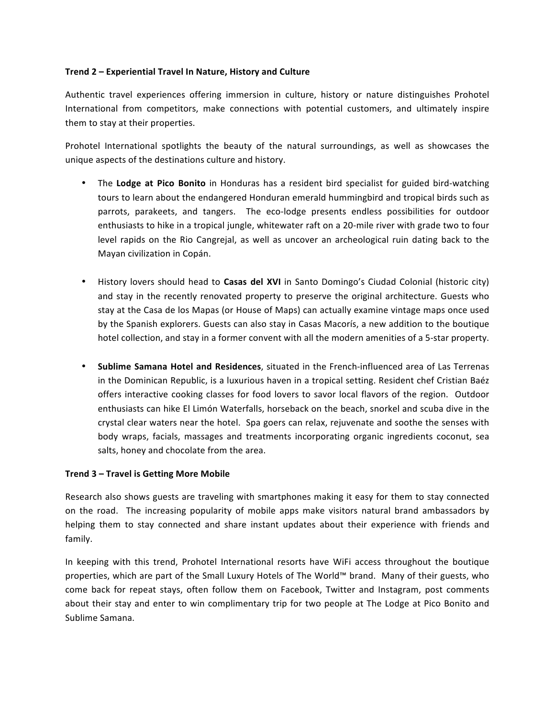### **Trend 2 – Experiential Travel In Nature, History and Culture**

Authentic travel experiences offering immersion in culture, history or nature distinguishes Prohotel International from competitors, make connections with potential customers, and ultimately inspire them to stay at their properties.

Prohotel International spotlights the beauty of the natural surroundings, as well as showcases the unique aspects of the destinations culture and history.

- The Lodge at Pico Bonito in Honduras has a resident bird specialist for guided bird-watching tours to learn about the endangered Honduran emerald hummingbird and tropical birds such as parrots, parakeets, and tangers. The eco-lodge presents endless possibilities for outdoor enthusiasts to hike in a tropical jungle, whitewater raft on a 20-mile river with grade two to four level rapids on the Rio Cangrejal, as well as uncover an archeological ruin dating back to the Mayan civilization in Copán.
- History lovers should head to **Casas del XVI** in Santo Domingo's Ciudad Colonial (historic city) and stay in the recently renovated property to preserve the original architecture. Guests who stay at the Casa de los Mapas (or House of Maps) can actually examine vintage maps once used by the Spanish explorers. Guests can also stay in Casas Macorís, a new addition to the boutique hotel collection, and stay in a former convent with all the modern amenities of a 5-star property.
- Sublime Samana Hotel and Residences, situated in the French-influenced area of Las Terrenas in the Dominican Republic, is a luxurious haven in a tropical setting. Resident chef Cristian Baéz offers interactive cooking classes for food lovers to savor local flavors of the region. Outdoor enthusiasts can hike El Limón Waterfalls, horseback on the beach, snorkel and scuba dive in the crystal clear waters near the hotel. Spa goers can relax, rejuvenate and soothe the senses with body wraps, facials, massages and treatments incorporating organic ingredients coconut, sea salts, honey and chocolate from the area.

### **Trend 3 – Travel is Getting More Mobile**

Research also shows guests are traveling with smartphones making it easy for them to stay connected on the road. The increasing popularity of mobile apps make visitors natural brand ambassadors by helping them to stay connected and share instant updates about their experience with friends and family.

In keeping with this trend, Prohotel International resorts have WiFi access throughout the boutique properties, which are part of the Small Luxury Hotels of The World™ brand. Many of their guests, who come back for repeat stays, often follow them on Facebook, Twitter and Instagram, post comments about their stay and enter to win complimentary trip for two people at The Lodge at Pico Bonito and Sublime Samana.